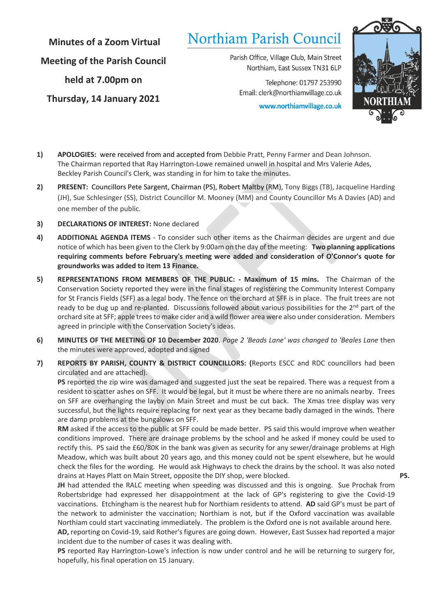**Minutes of a Zoom Virtual**

**Meeting of the Parish Council**

**held at 7.00pm on**

**Thursday, 14 January 2021**

# Northiam Parish Council

Parish Office, Village Club, Main Street Northiam, East Sussex TN31 6LP

Telephone: 01797 253990 Email: clerk@northiamvillage.co.uk

www.northiamvillage.co.uk



- **1) APOLOGIES:** were received from and accepted from Debbie Pratt, Penny Farmer and Dean Johnson. The Chairman reported that Ray Harrington-Lowe remained unwell in hospital and Mrs Valerie Ades, Beckley Parish Council's Clerk, was standing in for him to take the minutes.
- **2) PRESENT:** Councillors Pete Sargent, Chairman (PS), Robert Maltby (RM), Tony Biggs (TB), Jacqueline Harding (JH), Sue Schlesinger (SS), District Councillor M. Mooney (MM) and County Councillor Ms A Davies (AD) and one member of the public.
- **3) DECLARATIONS OF INTEREST:** None declared
- **4) ADDITIONAL AGENDA ITEMS**  To consider such other items as the Chairman decides are urgent and due notice of which has been given to the Clerk by 9:00am on the day of the meeting: **Two planning applications requiring comments before February's meeting were added and consideration of O'Connor's quote for groundworks was added to item 13 Finance.**
- **5) REPRESENTATIONS FROM MEMBERS OF THE PUBLIC: - Maximum of 15 mins.** The Chairman of the Conservation Society reported they were in the final stages of registering the Community Interest Company for St Francis Fields (SFF) as a legal body. The fence on the orchard at SFF is in place. The fruit trees are not ready to be dug up and re-planted. Discussions followed about various possibilities for the  $2<sup>nd</sup>$  part of the orchard site at SFF; apple trees to make cider and a wild flower area were also under consideration. Members agreed in principle with the Conservation Society's ideas.
- **6) MINUTES OF THE MEETING OF 10 December 2020**. *Page 2 'Beads Lane' was changed to 'Beales Lane* then the minutes were approved, adopted and signed
- **7) REPORTS BY PARISH, COUNTY & DISTRICT COUNCILLORS: (**Reports ESCC and RDC councillors had been circulated and are attached).

**PS** reported the zip wire was damaged and suggested just the seat be repaired. There was a request from a resident to scatter ashes on SFF. It would be legal, but it must be where there are no animals nearby. Trees on SFF are overhanging the layby on Main Street and must be cut back. The Xmas tree display was very successful, but the lights require replacing for next year as they became badly damaged in the winds. There are damp problems at the bungalows on SFF.

**RM** asked if the access to the public at SFF could be made better. PS said this would improve when weather conditions improved. There are drainage problems by the school and he asked if money could be used to rectify this. PS said the £60/80K in the bank was given as security for any sewer/drainage problems at High Meadow, which was built about 20 years ago, and this money could not be spent elsewhere, but he would check the files for the wording. He would ask Highways to check the drains by the school. It was also noted drains at Hayes Platt on Main Street, opposite the DIY shop, were blocked. **PS.**

**JH** had attended the RALC meeting when speeding was discussed and this is ongoing. Sue Prochak from Robertsbridge had expressed her disappointment at the lack of GP's registering to give the Covid-19 vaccinations. Etchingham is the nearest hub for Northiam residents to attend. **AD** said GP's must be part of the network to administer the vaccination; Northiam is not, but if the Oxford vaccination was available Northiam could start vaccinating immediately. The problem is the Oxford one is not available around here.

**AD,** reporting on Covid-19, said Rother's figures are going down. However, East Sussex had reported a major incident due to the number of cases it was dealing with.

**PS** reported Ray Harrington-Lowe's infection is now under control and he will be returning to surgery for, hopefully, his final operation on 15 January.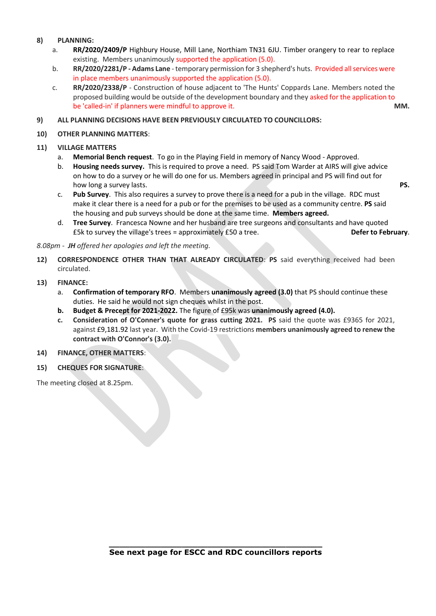#### **8) PLANNING:**

- a. **RR/2020/2409/P** Highbury House, Mill Lane, Northiam TN31 6JU. Timber orangery to rear to replace existing. Members unanimously supported the application (5.0).
- b. **RR/2020/2281/P - Adams Lane** temporary permission for 3 shepherd's huts. Provided all services were in place members unanimously supported the application (5.0).
- c. **RR/2020/2338/P** Construction of house adjacent to 'The Hunts' Coppards Lane. Members noted the proposed building would be outside of the development boundary and they asked for the application to be 'called-in' if planners were mindful to approve it. **MM.**

#### **9) ALL PLANNING DECISIONS HAVE BEEN PREVIOUSLY CIRCULATED TO COUNCILLORS:**

#### **10) OTHER PLANNING MATTERS**:

#### **11) VILLAGE MATTERS**

- a. **Memorial Bench request**. To go in the Playing Field in memory of Nancy Wood Approved.
- b. **Housing needs survey.** This is required to prove a need. PS said Tom Warder at AIRS will give advice on how to do a survey or he will do one for us. Members agreed in principal and PS will find out for how long a survey lasts. **PS.**
- c. **Pub Survey**. This also requires a survey to prove there is a need for a pub in the village. RDC must make it clear there is a need for a pub or for the premises to be used as a community centre. **PS** said the housing and pub surveys should be done at the same time. **Members agreed.**
- d. **Tree Survey**. Francesca Nowne and her husband are tree surgeons and consultants and have quoted £5k to survey the village's trees = approximately £50 a tree. **Defer to February**.

*8.08pm - JH offered her apologies and left the meeting.*

**12) CORRESPONDENCE OTHER THAN THAT ALREADY CIRCULATED**: **PS** said everything received had been circulated.

#### **13) FINANCE:**

- a. **Confirmation of temporary RFO**. Members **unanimously agreed (3.0)** that PS should continue these duties. He said he would not sign cheques whilst in the post.
- **b. Budget & Precept for 2021-2022.** The figure of £95k was **unanimously agreed (4.0).**
- **c. Consideration of O'Conner's quote for grass cutting 2021. PS** said the quote was £9365 for 2021, against £9,181.92 last year. With the Covid-19 restrictions **members unanimously agreed to renew the contract with O'Connor's (3.0).**

#### **14) FINANCE, OTHER MATTERS**:

**15) CHEQUES FOR SIGNATURE**:

The meeting closed at 8.25pm.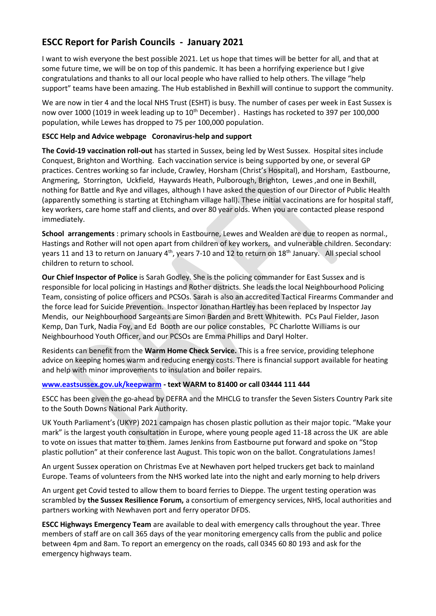# **ESCC Report for Parish Councils - January 2021**

I want to wish everyone the best possible 2021. Let us hope that times will be better for all, and that at some future time, we will be on top of this pandemic. It has been a horrifying experience but I give congratulations and thanks to all our local people who have rallied to help others. The village "help support" teams have been amazing. The Hub established in Bexhill will continue to support the community.

We are now in tier 4 and the local NHS Trust (ESHT) is busy. The number of cases per week in East Sussex is now over 1000 (1019 in week leading up to 10<sup>th</sup> December). Hastings has rocketed to 397 per 100,000 population, while Lewes has dropped to 75 per 100,000 population.

## **ESCC Help and Advice webpage Coronavirus-help and support**

**The Covid-19 vaccination roll-out** has started in Sussex, being led by West Sussex. Hospital sites include Conquest, Brighton and Worthing. Each vaccination service is being supported by one, or several GP practices. Centres working so far include, Crawley, Horsham (Christ's Hospital), and Horsham, Eastbourne, Angmering, Storrington, Uckfield, Haywards Heath, Pulborough, Brighton, Lewes ,and one in Bexhill, nothing for Battle and Rye and villages, although I have asked the question of our Director of Public Health (apparently something is starting at Etchingham village hall). These initial vaccinations are for hospital staff, key workers, care home staff and clients, and over 80 year olds. When you are contacted please respond immediately.

**School arrangements** : primary schools in Eastbourne, Lewes and Wealden are due to reopen as normal., Hastings and Rother will not open apart from children of key workers, and vulnerable children. Secondary: years 11 and 13 to return on January 4<sup>th</sup>, years 7-10 and 12 to return on 18<sup>th</sup> January. All special school children to return to school.

**Our Chief Inspector of Police** is Sarah Godley. She is the policing commander for East Sussex and is responsible for local policing in Hastings and Rother districts. She leads the local Neighbourhood Policing Team, consisting of police officers and PCSOs. Sarah is also an accredited Tactical Firearms Commander and the force lead for Suicide Prevention. Inspector Jonathan Hartley has been replaced by Inspector Jay Mendis, our Neighbourhood Sargeants are Simon Barden and Brett Whitewith. PCs Paul Fielder, Jason Kemp, Dan Turk, Nadia Foy, and Ed Booth are our police constables, PC Charlotte Williams is our Neighbourhood Youth Officer, and our PCSOs are Emma Phillips and Daryl Holter.

Residents can benefit from the **Warm Home Check Service.** This is a free service, providing telephone advice on keeping homes warm and reducing energy costs. There is financial support available for heating and help with minor improvements to insulation and boiler repairs.

## **[www.eastsussex.gov.uk/keepwarm](http://www.eastsussex.gov.uk/keepwarm) - text WARM to 81400 or call 03444 111 444**

ESCC has been given the go-ahead by DEFRA and the MHCLG to transfer the Seven Sisters Country Park site to the South Downs National Park Authority.

UK Youth Parliament's (UKYP) 2021 campaign has chosen plastic pollution as their major topic. "Make your mark" is the largest youth consultation in Europe, where young people aged 11-18 across the UK are able to vote on issues that matter to them. James Jenkins from Eastbourne put forward and spoke on "Stop plastic pollution" at their conference last August. This topic won on the ballot. Congratulations James!

An urgent Sussex operation on Christmas Eve at Newhaven port helped truckers get back to mainland Europe. Teams of volunteers from the NHS worked late into the night and early morning to help drivers

An urgent get Covid tested to allow them to board ferries to Dieppe. The urgent testing operation was scrambled by **the Sussex Resilience Forum,** a consortium of emergency services, NHS, local authorities and partners working with Newhaven port and ferry operator DFDS.

**ESCC Highways Emergency Team** are available to deal with emergency calls throughout the year. Three members of staff are on call 365 days of the year monitoring emergency calls from the public and police between 4pm and 8am. To report an emergency on the roads, call 0345 60 80 193 and ask for the emergency highways team.